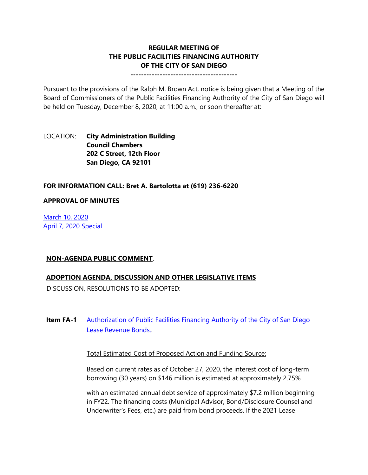# **REGULAR MEETING OF THE PUBLIC FACILITIES FINANCING AUTHORITY OF THE CITY OF SAN DIEGO**

**----------------------------------------**

Pursuant to the provisions of the Ralph M. Brown Act, notice is being given that a Meeting of the Board of Commissioners of the Public Facilities Financing Authority of the City of San Diego will be held on Tuesday, December 8, 2020, at 11:00 a.m., or soon thereafter at:

## LOCATION: **City Administration Building Council Chambers 202 C Street, 12th Floor San Diego, CA 92101**

#### **FOR INFORMATION CALL: Bret A. Bartolotta at (619) 236-6220**

#### **APPROVAL OF MINUTES**

[March 10, 2020](https://www.sandiego.gov/sites/default/files/0310pffa.pdf) [April 7, 2020 Special](https://www.sandiego.gov/sites/default/files/0407pffa.pdf)

#### **NON-AGENDA PUBLIC COMMENT**.

#### **ADOPTION AGENDA, DISCUSSION AND OTHER LEGISLATIVE ITEMS**

DISCUSSION, RESOLUTIONS TO BE ADOPTED:

**Item FA-1** Authorization of Public Facilities Financing Authority of the City of San Diego [Lease Revenue Bonds..](https://www.sandiego.gov/sites/default/files/pffa_item_combined_files.pdf)

Total Estimated Cost of Proposed Action and Funding Source:

Based on current rates as of October 27, 2020, the interest cost of long-term borrowing (30 years) on \$146 million is estimated at approximately 2.75%

with an estimated annual debt service of approximately \$7.2 million beginning in FY22. The financing costs (Municipal Advisor, Bond/Disclosure Counsel and Underwriter's Fees, etc.) are paid from bond proceeds. If the 2021 Lease